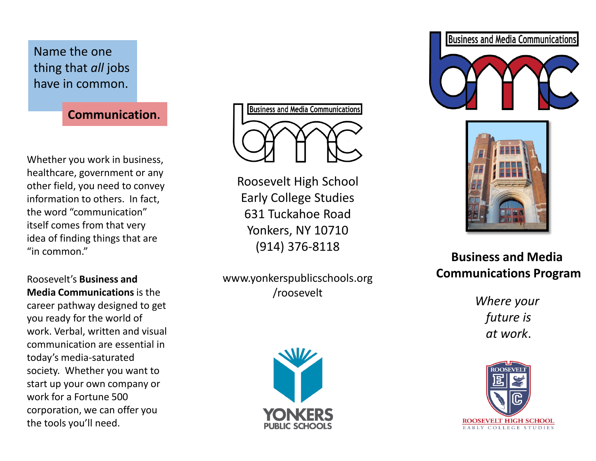Name the one thing that *all* jobs have in common.

**Communication**.

Whether you work in business, healthcare, government or any other field, you need to convey information to others. In fact, the word "communication" itself comes from that very idea of finding things that are "in common."

Roosevelt's **Business and Media Communications** is the career pathway designed to get you ready for the world of work. Verbal, written and visual communication are essential in today's media-saturated society. Whether you want to start up your own company or work for a Fortune 500 corporation, we can offer you the tools you'll need.

**Business and Media Communications** 

Roosevelt High School Early College Studies 631 Tuckahoe Road Yonkers, NY 10710 (914) 376-8118

www.yonkerspublicschools.org /roosevelt







**Business and Media Communications Program**

*Where your future is at work*.